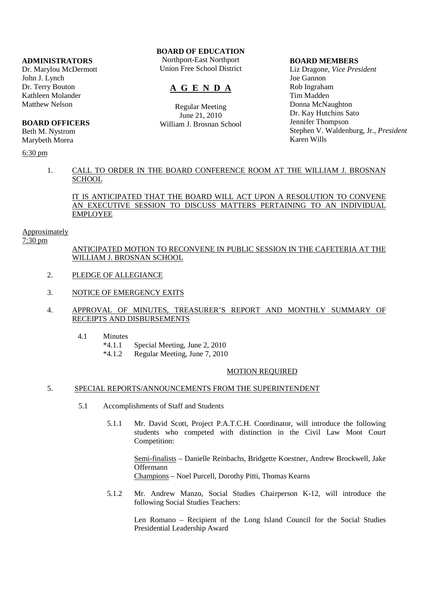# **ADMINISTRATORS**

Dr. Marylou McDermott John J. Lynch Dr. Terry Bouton Kathleen Molander Matthew Nelson

# **BOARD OFFICERS**

Beth M. Nystrom Marybeth Morea

6:30 pm

# **BOARD OF EDUCATION**

Northport-East Northport Union Free School District

# **A G E N D A**

Regular Meeting June 21, 2010 William J. Brosnan School

#### **BOARD MEMBERS**

Liz Dragone, *Vice President* Joe Gannon Rob Ingraham Tim Madden Donna McNaughton Dr. Kay Hutchins Sato Jennifer Thompson Stephen V. Waldenburg, Jr., *President* Karen Wills

# 1. CALL TO ORDER IN THE BOARD CONFERENCE ROOM AT THE WILLIAM J. BROSNAN **SCHOOL**

# IT IS ANTICIPATED THAT THE BOARD WILL ACT UPON A RESOLUTION TO CONVENE AN EXECUTIVE SESSION TO DISCUSS MATTERS PERTAINING TO AN INDIVIDUAL EMPLOYEE

#### Approximately

7:30 pm

 ANTICIPATED MOTION TO RECONVENE IN PUBLIC SESSION IN THE CAFETERIA AT THE WILLIAM J. BROSNAN SCHOOL

- 2. PLEDGE OF ALLEGIANCE
- 3. NOTICE OF EMERGENCY EXITS

# 4. APPROVAL OF MINUTES, TREASURER'S REPORT AND MONTHLY SUMMARY OF RECEIPTS AND DISBURSEMENTS

- 4.1 Minutes
	- \*4.1.1 Special Meeting, June 2, 2010
	- \*4.1.2 Regular Meeting, June 7, 2010

# MOTION REQUIRED

# 5. SPECIAL REPORTS/ANNOUNCEMENTS FROM THE SUPERINTENDENT

- 5.1 Accomplishments of Staff and Students
	- 5.1.1 Mr. David Scott, Project P.A.T.C.H. Coordinator, will introduce the following students who competed with distinction in the Civil Law Moot Court Competition:

 Semi-finalists – Danielle Reinbachs, Bridgette Koestner, Andrew Brockwell, Jake Offermann Champions – Noel Purcell, Dorothy Pitti, Thomas Kearns

 5.1.2 Mr. Andrew Manzo, Social Studies Chairperson K-12, will introduce the following Social Studies Teachers:

 Len Romano – Recipient of the Long Island Council for the Social Studies Presidential Leadership Award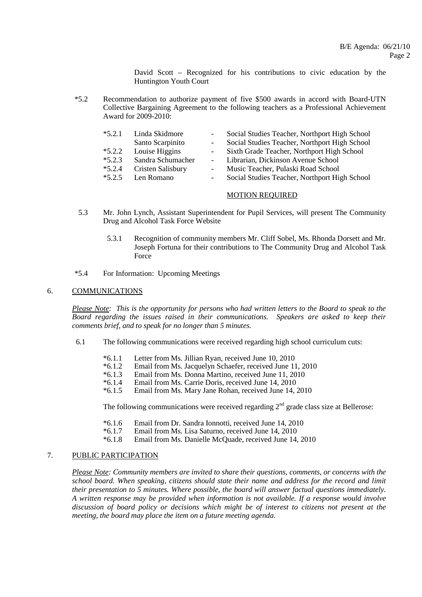David Scott – Recognized for his contributions to civic education by the Huntington Youth Court

 \*5.2 Recommendation to authorize payment of five \$500 awards in accord with Board-UTN Collective Bargaining Agreement to the following teachers as a Professional Achievement Award for 2009-2010:

| $*5.2.1$ | Linda Skidmore    | $\sim$                   | Social Studies Teacher, Northport High School |
|----------|-------------------|--------------------------|-----------------------------------------------|
|          | Santo Scarpinito  | $\sim$                   | Social Studies Teacher, Northport High School |
| $*5.2.2$ | Louise Higgins    |                          | - Sixth Grade Teacher, Northport High School  |
| $*5.2.3$ | Sandra Schumacher |                          | Librarian, Dickinson Avenue School            |
| $*5.2.4$ | Cristen Salisbury |                          | Music Teacher, Pulaski Road School            |
| $*5.2.5$ | Len Romano        | $\overline{\phantom{a}}$ | Social Studies Teacher, Northport High School |

# MOTION REQUIRED

- 5.3 Mr. John Lynch, Assistant Superintendent for Pupil Services, will present The Community Drug and Alcohol Task Force Website
	- 5.3.1 Recognition of community members Mr. Cliff Sobel, Ms. Rhonda Dorsett and Mr. Joseph Fortuna for their contributions to The Community Drug and Alcohol Task Force
- \*5.4 For Information: Upcoming Meetings

# 6. COMMUNICATIONS

*Please Note: This is the opportunity for persons who had written letters to the Board to speak to the Board regarding the issues raised in their communications. Speakers are asked to keep their comments brief, and to speak for no longer than 5 minutes.*

- 6.1 The following communications were received regarding high school curriculum cuts:
	- \*6.1.1 Letter from Ms. Jillian Ryan, received June 10, 2010
	- \*6.1.2 Email from Ms. Jacquelyn Schaefer, received June 11, 2010
	- \*6.1.3 Email from Ms. Donna Martino, received June 11, 2010
	- Email from Ms. Carrie Doris, received June 14, 2010
	- \*6.1.5 Email from Ms. Mary Jane Rohan, received June 14, 2010

The following communications were received regarding  $2<sup>nd</sup>$  grade class size at Bellerose:

- \*6.1.6 Email from Dr. Sandra Ionnotti, received June 14, 2010
- \*6.1.7 Email from Ms. Lisa Saturno, received June 14, 2010
- Email from Ms. Danielle McQuade, received June 14, 2010

# 7. PUBLIC PARTICIPATION

*Please Note: Community members are invited to share their questions, comments, or concerns with the school board. When speaking, citizens should state their name and address for the record and limit their presentation to 5 minutes. Where possible, the board will answer factual questions immediately. A written response may be provided when information is not available. If a response would involve discussion of board policy or decisions which might be of interest to citizens not present at the meeting, the board may place the item on a future meeting agenda*.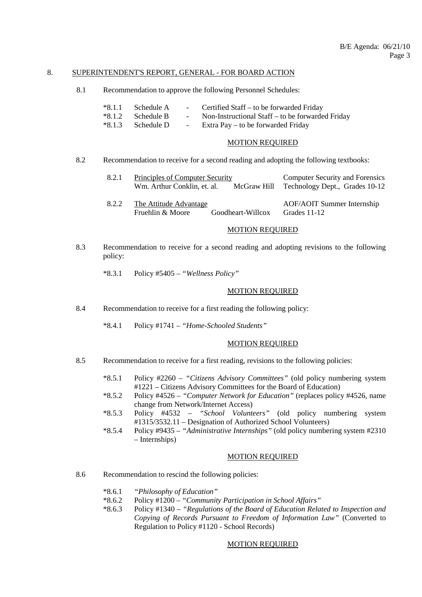# 8. SUPERINTENDENT'S REPORT, GENERAL - FOR BOARD ACTION

8.1 Recommendation to approve the following Personnel Schedules:

| *8.1.1 Schedule A   | <b>Contract Contract</b> | Certified Staff – to be forwarded Friday           |
|---------------------|--------------------------|----------------------------------------------------|
| $*8.1.2$ Schedule B |                          | - Non-Instructional Staff – to be forwarded Friday |
| *8.1.3 Schedule D   |                          | - Extra Pay – to be forwarded Friday               |

#### MOTION REQUIRED

8.2 Recommendation to receive for a second reading and adopting the following textbooks:

| 8.2.1 | Principles of Computer Security<br>Wm. Arthur Conklin, et. al.<br>McGraw Hill | <b>Computer Security and Forensics</b><br>Technology Dept., Grades 10-12 |
|-------|-------------------------------------------------------------------------------|--------------------------------------------------------------------------|
| 8.2.2 | The Attitude Advantage<br>Fruehlin & Moore<br>Goodheart-Willcox               | <b>AOF/AOIT Summer Internship</b><br>Grades 11-12                        |

# MOTION REQUIRED

- 8.3 Recommendation to receive for a second reading and adopting revisions to the following policy:
	- \*8.3.1 Policy #5405 *"Wellness Policy"*

# MOTION REQUIRED

- 8.4 Recommendation to receive for a first reading the following policy:
	- \*8.4.1 Policy #1741 *"Home-Schooled Students"*

#### MOTION REQUIRED

- 8.5 Recommendation to receive for a first reading, revisions to the following policies:
	- \*8.5.1 Policy #2260 *"Citizens Advisory Committees"* (old policy numbering system #1221 – Citizens Advisory Committees for the Board of Education)
	- \*8.5.2 Policy #4526 *"Computer Network for Education"* (replaces policy #4526, name change from Network/Internet Access)
	- \*8.5.3 Policy #4532 *"School Volunteers"* (old policy numbering system #1315/3532.11 – Designation of Authorized School Volunteers)
	- \*8.5.4 Policy #9435 *"Administrative Internships"* (old policy numbering system #2310 – Internships)

# MOTION REQUIRED

- 8.6 Recommendation to rescind the following policies:
	- \*8.6.1 *"Philosophy of Education"*
	- \*8.6.2 Policy #1200 *"Community Participation in School Affairs"*
	- \*8.6.3 Policy #1340 *"Regulations of the Board of Education Related to Inspection and Copying of Records Pursuant to Freedom of Information Law"* (Converted to Regulation to Policy #1120 - School Records)

#### MOTION REQUIRED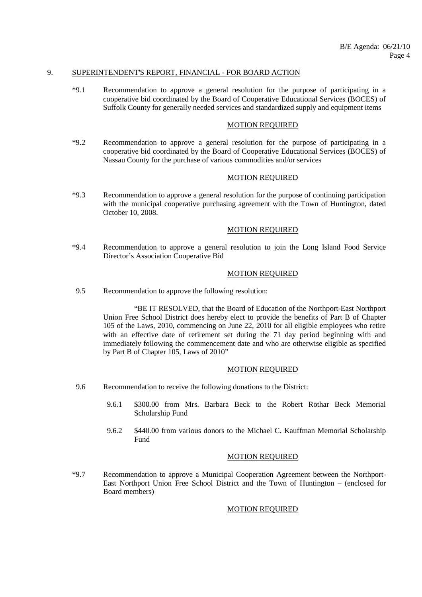# 9. SUPERINTENDENT'S REPORT, FINANCIAL - FOR BOARD ACTION

 \*9.1 Recommendation to approve a general resolution for the purpose of participating in a cooperative bid coordinated by the Board of Cooperative Educational Services (BOCES) of Suffolk County for generally needed services and standardized supply and equipment items

#### MOTION REQUIRED

 \*9.2 Recommendation to approve a general resolution for the purpose of participating in a cooperative bid coordinated by the Board of Cooperative Educational Services (BOCES) of Nassau County for the purchase of various commodities and/or services

# MOTION REQUIRED

 \*9.3 Recommendation to approve a general resolution for the purpose of continuing participation with the municipal cooperative purchasing agreement with the Town of Huntington, dated October 10, 2008.

#### MOTION REQUIRED

 \*9.4 Recommendation to approve a general resolution to join the Long Island Food Service Director's Association Cooperative Bid

#### MOTION REQUIRED

9.5 Recommendation to approve the following resolution:

 "BE IT RESOLVED, that the Board of Education of the Northport-East Northport Union Free School District does hereby elect to provide the benefits of Part B of Chapter 105 of the Laws, 2010, commencing on June 22, 2010 for all eligible employees who retire with an effective date of retirement set during the 71 day period beginning with and immediately following the commencement date and who are otherwise eligible as specified by Part B of Chapter 105, Laws of 2010"

#### MOTION REQUIRED

- 9.6 Recommendation to receive the following donations to the District:
	- 9.6.1 \$300.00 from Mrs. Barbara Beck to the Robert Rothar Beck Memorial Scholarship Fund
	- 9.6.2 \$440.00 from various donors to the Michael C. Kauffman Memorial Scholarship Fund

# MOTION REQUIRED

 \*9.7 Recommendation to approve a Municipal Cooperation Agreement between the Northport-East Northport Union Free School District and the Town of Huntington – (enclosed for Board members)

# MOTION REQUIRED